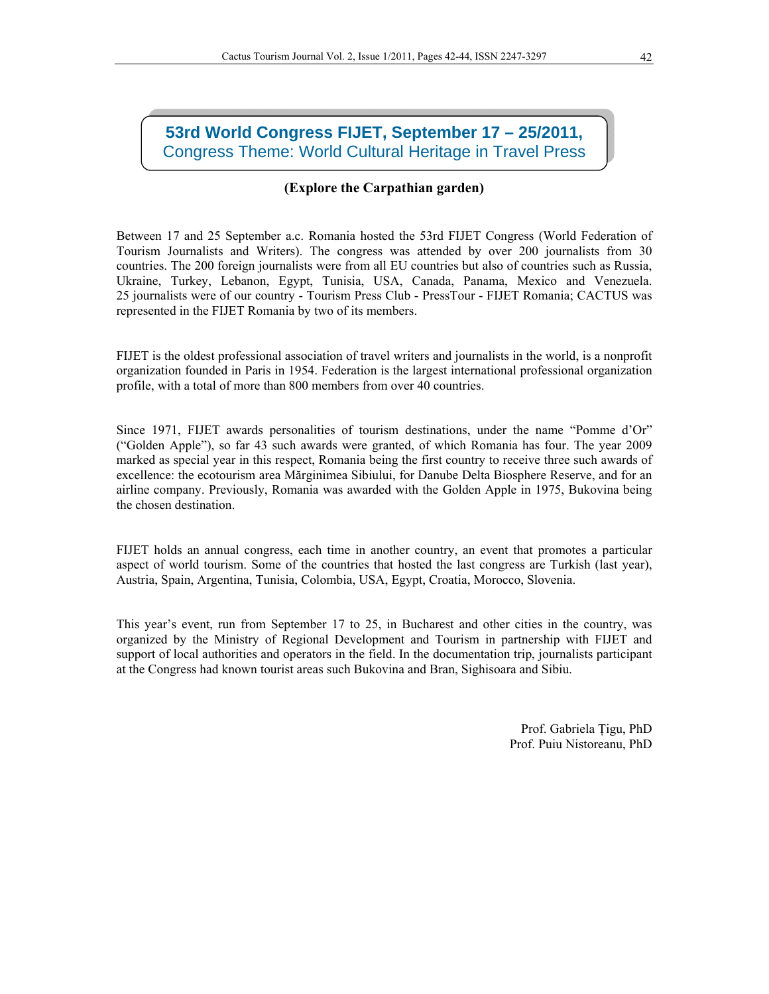## **53rd World Congress FIJET, September 17 – 25/2011,**  Congress Theme: World Cultural Heritage in Travel Press

## **(Explore the Carpathian garden)**

Between 17 and 25 September a.c. Romania hosted the 53rd FIJET Congress (World Federation of Tourism Journalists and Writers). The congress was attended by over 200 journalists from 30 countries. The 200 foreign journalists were from all EU countries but also of countries such as Russia, Ukraine, Turkey, Lebanon, Egypt, Tunisia, USA, Canada, Panama, Mexico and Venezuela. 25 journalists were of our country - Tourism Press Club - PressTour - FIJET Romania; CACTUS was represented in the FIJET Romania by two of its members.

FIJET is the oldest professional association of travel writers and journalists in the world, is a nonprofit organization founded in Paris in 1954. Federation is the largest international professional organization profile, with a total of more than 800 members from over 40 countries.

Since 1971, FIJET awards personalities of tourism destinations, under the name "Pomme d'Or" ("Golden Apple"), so far 43 such awards were granted, of which Romania has four. The year 2009 marked as special year in this respect, Romania being the first country to receive three such awards of excellence: the ecotourism area Mărginimea Sibiului, for Danube Delta Biosphere Reserve, and for an airline company. Previously, Romania was awarded with the Golden Apple in 1975, Bukovina being the chosen destination.

FIJET holds an annual congress, each time in another country, an event that promotes a particular aspect of world tourism. Some of the countries that hosted the last congress are Turkish (last year), Austria, Spain, Argentina, Tunisia, Colombia, USA, Egypt, Croatia, Morocco, Slovenia.

This year's event, run from September 17 to 25, in Bucharest and other cities in the country, was organized by the Ministry of Regional Development and Tourism in partnership with FIJET and support of local authorities and operators in the field. In the documentation trip, journalists participant at the Congress had known tourist areas such Bukovina and Bran, Sighisoara and Sibiu.

> Prof. Gabriela Ţigu, PhD Prof. Puiu Nistoreanu, PhD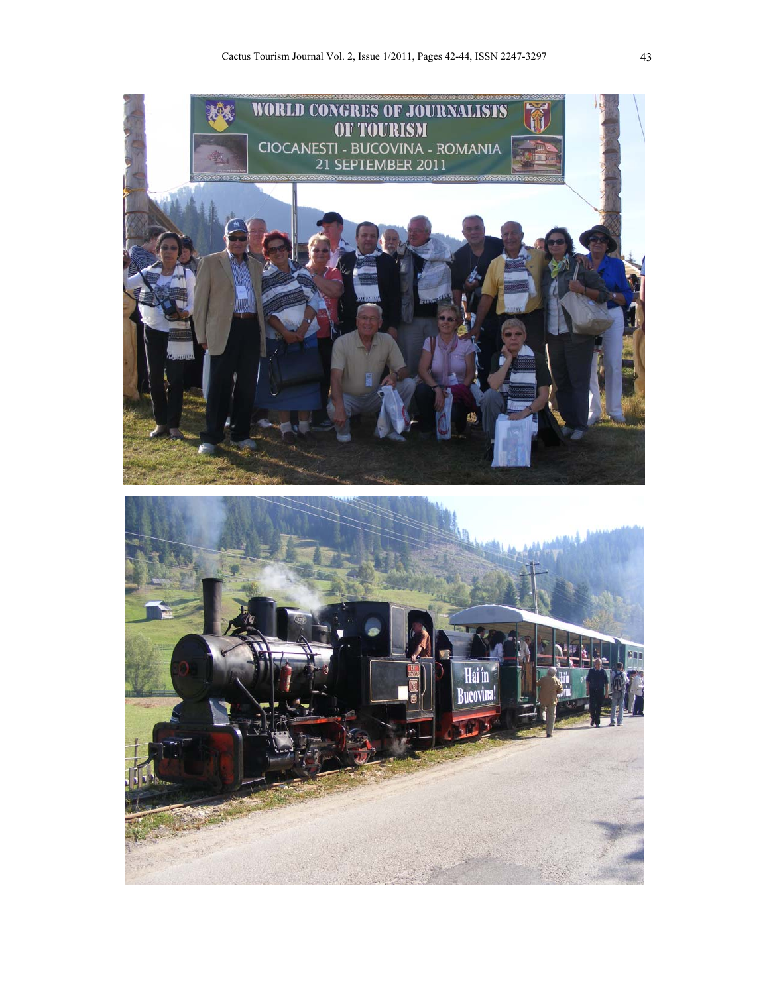